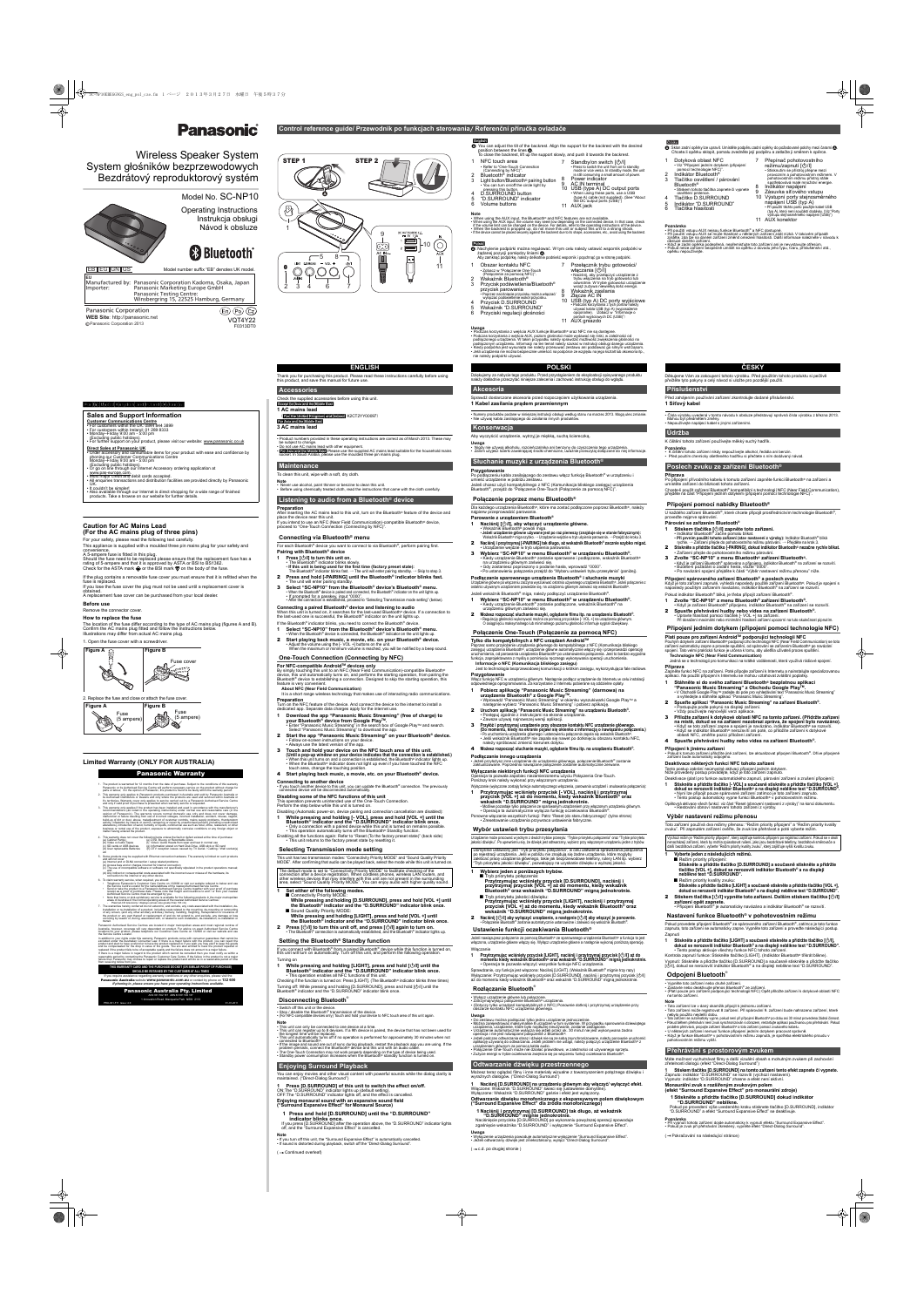Wireless Speaker System System głośników bezprzewodowych Bezdrátový reproduktorový systém

# Model No. SC-NP10

Operating Instructions Instrukcja obsługi Návod k obsluze

# **83 Bluetooth**

Panasonic Corporation 2013

| EB  EG  GN  GS                                                 | Model number suffix "EB" denotes UK model.                                                                                                                                    |
|----------------------------------------------------------------|-------------------------------------------------------------------------------------------------------------------------------------------------------------------------------|
| EU<br>Importer:                                                | Manufactured by: Panasonic Corporation Kadoma, Osaka, Japan<br>Panasonic Marketing Europe GmbH<br><b>Panasonic Testing Centre:</b><br>Winsbergring 15, 22525 Hamburg, Germany |
| <b>Panasonic Corporation</b><br>WEB Site: http://panasonic.net | $C_{Z}$ )<br>Έn                                                                                                                                                               |

F0313DT0

If the plug contains a removable fuse cover you must ensure that it is refitted when the fuse is replaced. If you lose the fuse cover the plug must not be used until a r

# STEP 1 STEP 2 ψ

#### **Caution for AC Mains Lead (For the AC mains plug of three pins)**

For your safety, please read the following text carefully. This appliance is supplied with a moulded three pin mains plug for your safety and

convenience. A 5-ampere fuse is fitted in this plug.

Should the fuse need to be replaced please ensure that the replacement fuse has a<br>rating of 5-ampere and that it is approved by ASTA or BSI to BS1362.<br>Check for the ASTA mark ♠ or the BSI mark ❤ on the body of the fuse.

obtained. A replacement fuse cover can be purchased from your local dealer.

#### **Before use**

#### Remove the connector cover.

#### **How to replace the fuse**

The location of the fuse differ according to the type of AC mains plug (figures A and B).<br>Confirm the AC mains plug fitted and follow the instructions below.<br>Illustrations may differ from actual AC mains plug.

1. Open the fuse cover with a screwdriver



2. Replace the fuse and close or attach the fuse cover.

#### **Limited Warranty (ONLY FOR AUSTRALIA)**

**Sales and Support Information**

Customer Communications Centre<br>• For customers within the UK: 0844 844 3899<br>• For customers within Ireland: 01 289 8333<br>• Monday–Friday 9:00 am - 5:00 pm<br>• (Excluding public holidays).<br>• For further support on your product

- 
- 
- **Direct Sales at Panasonic UK**<br>• Order accessory and consumable items for your product with ease and confidence by<br>• phoning our Customer Communications Centre<br>• Monday–Friday 9:00 am 5:00 pm<br>• Crecluding public holidays
- 
- 
- www.pas-europe.com.<br>• Most major credit and debit cards accepted.<br>• All enquiries transactions and distribution facilities are provided directly by Panasonic
- UK.<br>• It couldn't be simpler!<br>• Also available through our Internet is direct shopping for a wide range of finished<br>• products. Take a browse on our website for further details.





#### Panasonic Warranty

1. The product is warranty control and the of purchase. Subject to the conditions of this warranty parasonic or its Authorised Service Centre will perform necessary service on the product without charge for parasonic *n* i

4. This warranty does not cover the following items unless the fault or defect existed at the time of purchase:<br>
(b) Video or Audio Tapes<br>
(c) Video or Audio Tapes (f) Video / Audio Heads from wear and tear in normal use<br>

5. Some products may be supplied with Ethernet connection hardware. The warranty is limited on such products<br>and will not cover<br>(a) Internet and or DLNA connection / setup related problems

(b) Access fees and or charges incurred for internet connection<br>(c) The use of incompatible software or software not specifically stipulated in the product operations manual;

and<br>
(d) Any indirect or consequential costs associated with the incorrect use or misuse of the hardware, its<br>
(d) Any indirect or to the internet or any other device.<br>
6. To claim warranty service, when required, you shou • Send or take the product to a Panasonic Authorised Service Centre together with your proof of purchase receipt as a proof of purchase date. Please note that freight and insurance to and / or from your nearest

Authorised Service Centre must be arranged by you.<br>• Note that home or pick-up/delivery service is available for the following products in the major metropolitan<br>- reas of Australia or the normal operating areas of the nea

7. The warranties hereby conferred do not extend to, and exclude, any costs associated with the installation or<br>installation or e-installation of a product, including costs related to the mounting, de-mounting or remountin

transit.<br>Panasonic Authorised Service Centres are located in major metropolitan areas and most regional centres of<br>Australia, however, coverage will vary dependant on product. For advice on exact Authorised Service Centre<br>

In addition to your rights under this warranty, Panasonic products come with consumer guarantees that cannot be<br>excluded under the Australian Consumer Law. If there is a major failure with the product, you can reject the<br>p If there is a major failure in regard to the product which cannot be remedied then you must notify us within a<br>reasonable period by contacting the Panasonic Customer Care Centre. If the failure in the product is not a majo

For Asia and the Middle East **3 AC mains lead**

• Product numbers provided in these operating instructions are correct as of March 2013. These may be subject to change. • Do not use AC mains lead with other equipment. • For Asia and the Middle East Please use the supplied AC mains lead suitable for the household mains socket. In Saudi Arabia, please use the moulded three pin mains plug.

**Note**<br>• Never use alcohol, paint thinner or benzine to clean this unit.<br>• Before using chemically treated cloth, read the instructions that came with the cloth carefully.

**Connecting a paired Bluetooth® device and listening to audio** When this unit is turned on, it searches for the last-used Bluetooth® device. If a connection to<br>the last-used one is successful, the Bluetooth® indicator on the unit lights up.

If the Bluetooth® indicator blinks, you need to connect the Bluetooth® device. **1 Select "SC-NP10" from the Bluetooth® device's Bluetooth® menu.** When the Bluetooth® device is connected, the Bluetooth® indicator on the unit lights up.

- **2 Start playing back music, a movie, etc. on your Bluetooth<sup>®</sup> device.<br>• Adjust the volume using the [- VOL +] buttons on the unit.<br>When the maximum or minimum volume is reached, you will be notified by a beep sound.**
- 

**For NFC-compatible Android™ devices only**<br>By simply touching this unit to an NFC (Near Field Communication)-compatible Bluetooth®<br>device, this unit automatically turns on, and performs the starting operation, from pairin feature is very convenient.

#### **1 Set either of the following modes.** ■ Connectivity Priority MODE

- **While pressing and holding [D.SURROUND], press and hold [VOL +] until the Bluetooth® indicator and the "D.SURROUND" indicator blink once.**
- Sound Quality Priority MODE: **While pressing and holding [LIGHT], press and hold [VOL +] until the Bluetooth® indicator and the "D.SURROUND" indicator blink once.**
- **2 Press [∪/l] to turn this unit off, and press [∪/l] again to turn on.**<br>• The Bluetooth® connection is automatically established, and the Bluetooth® indicator lights up.

• This operation enables all NFC functions of this unit. Checking if the function is turned on: Press [LIGHT]. (The Bluetooth® indicator blinks three times) Turning off: While pressing and holding [D.SURROUND], press and hold [O॑/I] until the<br>Bluetooth® indicator and the "D.SURROUND" indicator blink once.

#### **THIS WARRANTY CARD AND THE PURCHASE DOCKET (OR SIMILAR PROOF OF PURCHASE) SHOULD BE RETAINED BY THE CUSTOMER AT ALL TIMES**

If you require assistance regarding warranty conditions or any other enquiries, please visit the Panasonic Australia website **www.panasonic.com.au** or contact by phone on **132 600**

*If phoning in, please ensure you have your operating instructions available.* Panasonic Australia Pty. Limited ACN 001 592 187 ABN 83 001 592 187

1 Innovation Road, Macquarie Park NSW 2113 PRO-031-F11 Issue: 4.0 01-01-2011 Thank you for purchasing this product. Please read these instructions carefully before using this product, and save this manual for future use.

**1 AC mains lead**

(For the United Kingdom and Ireland K2CT2YY00097)

- **Parowanie z urządzeniem Bluetooth®**
- **1 Naciśnij [**Í**/I], aby włączyć urządzenie główne.** Wskaźnik Bluetooth® powoli miga.
- **Jeżeli urządzenie główne używane jest po raz pierwszy (znajduje się w stanie fabrycznym):**<br>Wskaźnik Bluetooth® miga szybko. → Urządzenie wejdzie w tryb uśpienia parowania. → Przejdź do kroku 3.
- <sup>2</sup> **Naciśnij i przytrzymaj [-PAIRING] tak długo, aż wskaźnik Bluetooth® zacznie szybko migać.** Urządzenie wejdzie w tryb uśpienia parowania.
- <sup>3</sup> **Wybierz "SC-NP10" w menu Bluetooth® w urządzeniu Bluetooth®.** Kiedy urządzenie Bluetooth® zostanie sparowane i podłączone, wskaźnik Bluetooth® · na urządzeniu głównym zaświeci się.<br>• Gdy zostaniesz poproszony o podanie hasła, wprowadź "0000".<br>• Po ustanowieniu połączenia przejdź do "Wyboru ustawień trybu przesyłania" (poniżej).
- 

To clean this unit, wipe with a soft, dry cloth.

**Podłączanie sparowanego urządzenia Bluetooth® i słuchanie muzyki** Urządzenie główne po włączeniu zaczyna wyszukiwać ostatnio używanego urządzenia Bluetooth

# Česky

**Preparation**

After inserting the AC mains lead to this unit, turn on the Bluetooth® feature of the device and

If you intend to use an NFC (Near Field Communication)-compatible Bluetooth<sup>®</sup> device,

place the device near this unit.

- używanym urządzeniem powiedzie się, na urządzeniu głównym z Jeżeli wskaźnik Bluetooth® miga, należy podłączyć urządzenie Bluetooth®.
- **1 Wybierz "SC-NP10" w menu Bluetooth® w urządzeniu Bluetooth®.** • Kiedy urządzenie Bluetooth® zostanie podłączone, wskaźnik Bluetooth® na urządzeniu głównym zaświeci się.
- 2 **Możesz rozpocząć słuchanie muzyki, oglądanie filmu itp. na urządzeniu Bluetooth®.** • Regulację głośności wykonywać można za pomocą przycisków [- VOL +] na urządzeniu głównym. O osiągnięciu maksymalnego lub minimalnego poziomu głośności informuje sygnał dźwiękowy.

For each Bluetooth® device you want to connect to via Bluetooth®, perform pairing first.

**Pairing with Bluetooth® device 1 Press [**Í**/I] to turn this unit on.**

> Poprzez samo przyłożenie urządzenia głównego do kompatybilnego z NFC (Komunikacja bliskiego<br>zasięgu) urządzenia Bluetooth®, urządzenie główne automatycznie włączy się i przeprowadzi operację<br>uruchomienia, od parowania urz funkcja, zaprojektowana z myślą o pominięciu ręcznego wykonywania operacji uruchomienia. **Informacje o NFC (Komunikacja bliskiego zasięgu)**

• **If this unit is being used for the first time (factory preset state):** The Bluetooth® indicator blinks fast. → The unit will enter pairing standby. → Skip to step 3.

proceed to "One-Touch Connection (Connecting by NFC)".

2 **Press and hold [-PAIRING] until the Bluetooth® indicator blinks fast.** • The unit will enter pairing standby.

3 **Select "SC-NP10" from the Bluetooth® device's Bluetooth® menu.** • When the Bluetooth® device is paired and connected, the Bluetooth® indicator on the unit lights up • If prompted for a passkey, input "0000". • After the connection is established, proceed to "Selecting Transmission mode setting" (below).

- 
- **1 Pobierz aplikację "Panasonic Music Streaming" (darmowa) na<br>urządzenie Bluetooth® z Google Play™.<br>• Wprowadź "Panasonic Music Streaming" w okienku wyszukiwarki Google Play™ a<br>następnie wybierz "Panasonic Music Streaming**
- <sup>2</sup> **Uruchom aplikację "Panasonic Music Streaming" na urządzeniu Bluetooth®.** Postępuj zgodnie z instrukcjami na ekranie urządzenia. • Zawsze używaj najnowszej wersji aplikacji.
- 3 Przyłóż i przytrzymaj urządzenie przy obszarze kontaktu NFC urządzenie głównego.<br>(Do momentu, kiedy na ekranie pojawi się okienko z informacją o nawiązaniu połączenia.) • Po uruchomieniu urządzenia głównego i ustanowieniu połączenia zapala się wskaźnik Bluetooth®.<br>• Jeśli wskaźnik Bluetooth® nie zapala się nawet po dotknięciu obszaru kontaktu NFC,<br>∙ należy spróbować zmienić kierunek doty
- 4 **Możesz rozpocząć słuchanie muzyki, oglądanie filmu itp. na urządzeniu Bluetooth®.**
- **Podłączanie innego urządzenia**

Wyłączanie (wyłączone zostają funkcje automatycznego włączenia, parowania urządzeń i anulowania połączenia): 1 Przytrzymując wciśnięty przycisk [- VOL], naciśnij i przytrzymaj<br>przycisk [VOL +] aż do momentu, kiedy wskaźnik Bluetooth® oraz<br>wskaźnik "D.SURROUND" migną jednokrotnie.

**About NFC (Near Field Communication)**  It is a short range wireless technology that makes use of interacting radio communications.

**Preparation** Turn on the NFC feature of the device. And connect the device to the internet to install a

**1 – Naciśnij [D.SURROUND] na urządzeniu głównym aby włączyć/ wyłączyć efekt.**<br>Włączone: Wskażnik "D.SURROUND" świeci się (ustawienie domyślne).<br>Wyłączone: Wskaźnik "D.SURROUND" gaśnie i efekt jest wyłączony. **Odtwarzanie dźwięku monofonicznego z ekspansywnym polem dźwiękowym ("Surround Expansive Effect" dla źródła monofonicznego)**

1 Naciśnij i przytrzymaj [D.SURROUND] tak długo, aż wskaźnik<br>"D.SURROUND" mignie jednokrotnie.<br>Naciśnięcie przycisku [D.SURROUND] po wykonaniu powyższej operacji spowoduje<br>zgaśnięcie wskaźnika "D.SURROUND" i wyłączenie "Su

**Uwaga**<br>• Wyłączenie urządzenia powoduje automatyczne wyłączenie "Surround Expansive Effect".<br>• Jeżeli odtwarzany dźwięk jest zniekształcony, wyłącz "Direct-Dialog Surround".

Przytrzymując wciśnięty przycisk [LIGHT], naciśnij i przytrzymaj<br>przycisk [VOL +] aż do momentu, kiedy wskaźnik Bluetooth® oraz<br>wskaźnik "D.SURROUND" migną jednokrotnie.

- dedicated app. Separate data charges apply for the internet use. **1 Download the app "Panasonic Music Streaming" (free of charge) to**
- **your Bluetooth® device from Google Play™.**<br>• Enter "Panasonic Music Streaming" in the search box of Google Play™ and search.<br>· Select "Panasonic Music Streaming" to download the app.
- 2 **Start the app "Panasonic Music Streaming" on your Bluetooth® device.** • Follow on-screen instructions on your device. • Always use the latest version of the app.
- 3 **Touch and hold your device on the NFC touch area of this unit. (Until a pop-up window on your device indicates that the connection is established.)** • When this unit turns on and a connection is established, the Bluetooth® indicator lights up. • When the Bluetooth® indicator does not light up even if you have touched the NFC touch area, change the touching position.
- 4 **Start playing back music, a movie, etc. on your Bluetooth® device.**
- **Connecting to another device**<br>• If you touch another device to this unit, you can update the Bluetooth® connection. The previously<br>connected device will be disconnected automatically.
- **Disabling some of the NFC functions of this unit**
- This operation prevents unintended use of the One-Touch Connection. Perform the step below while this unit is turned on.
- Disabling (Automatic power-on, device pairing and connection cancellation are disabled):
- **1 While pressing and holding [- VOL], press and hold [VOL +] until the Bluetooth® indicator and the "D.SURROUND" indicator blink once.**
- Only a connection with a paired device while this unit is turned on remains possible. This operation automatically turns off the Bluetooth® Standby function.
- Enabling all the functions again: Refer to "Reset (To the factory preset state)" (back side) This unit returns to the factory preset state by resetting it.

**Příprava** Po připojení přívodního kabelu k tomuto zařízení zapněte funkci Bluetooth® na zařízení a <br>umístěte zařízení do blízkosti tohoto zařízení. Chcete-li použít zařízení Bluetooth® kompatibilní s technologií NFC (Near Field Communication),<br>přejděte na část "Připojení jedním dotykem (připojení pomocí technologie NFC)".

This unit has two transmission modes: "Connectivity Priority MODE" and "Sound Quality Priority MODE". After confirming that audio can be played back, select the mode while this unit is turned on.

The default mode is set to "Connectivity Priority MODE" to facilitate checking of the<br>connection after a device registration. When cordless phones, wireless LAN routers, and<br>other wireless devices that may interfere with t

- 
- 1 Stiskem tlačítka [Ú/I] zapněte toto zařízení.<br>• Indikátor Bluetooth® začne pomalu blikat.<br>• Při prvním použití tohoto zařízení (stav nastavení z výroby): Indikátor Bluetooth® bliká<br>• rychle. → Zařízení přejde do pohotov
- 2 **Stiskněte a přidržte tlačítko [-PAIRING], dokud indikátor Bluetooth® nezačne rychle blikat.** • Zařízení přejde do pohotovostního režimu párování.
- 3 **Zvolte "SC-NP10" z menu Bluetooth® zařízení Bluetooth®.** • Když je zařízení Bluetooth® spárováno a připojeno, indikátor Bluetooth® na zařízení se rozsvítí. • Budete-li požádáni o zadání hesla, vložte "0000". • Po navázání spojení přejděte k části "Výběr nastavení režimu přenosu" níže.

Pokud indikátor Bluetooth® bliká, je třeba připojit zařízení Bluetooth® **1 Zvolte "SC-NP10" z menu Bluetooth® zařízení Bluetooth®.**

• Když je zařízení Bluetooth® připojeno, indikátor Bluetooth® na zařízení se rozsvítí. Spustte přehrávání hudby nebo videa na zařízení Bluetooth®.<br>• Upravie hlasitost pomocí tlačítek [- VOL +] na zařízení.<br>Při dosažení maximální nebo minimální hlasitosti zařízení upozorní na tuto skutečnost pípnutím.

Pouhým dotykem zařízení Bluetooth® podporujícího technologii NFC (Near Field Communication) se toto<br>zařízení automaticky zapne a provede spuštění, od spárování se zařízením Bluetooth® po navázání spojení. Tato velmi praktická funkce je určena k tomu, aby ušetřila uživateli proces spuštění.

If you connect with Bluetooth® from a paired Bluetooth® device while this function is turned on, this unit will turn on automatically. Turn off this unit, and perform the following operation.

Turning on **1 While pressing and holding [LIGHT], press and hold [**Í**/I] until the Bluetooth® indicator and the "D.SURROUND" indicator blink once.** 3 **Přiložte zařízení k dotykové oblasti NFC na tomto zařízení. (Přidržte zařízení na místě, dokud se na zařízení nezobrazí zpráva, že spojení bylo navázáno).** • Když se toto zařízení zapne a spojení je navázáno, indikátor Bluetooth® se rozsvítí.<br>• Když se indikátor Bluetooth® nerozsvítí ani poté, co přiložíte zařízení k dotykové<br>· oblasti NFC, změňte pozici přiložení zařízení.

Stiskněte a přidržte tlačítko [LIGHT] a současně stiskněte a přidržte tlačítko [VOL +],<br>dokud se nerozsvítí indikátor Bluetooth® a na displeji neblikne text "D.SURROUND". 2 **Stiskem tlačítka [**Í**/I] vypněte toto zařízení. Dalším stiskem tlačítka [**Í**/I]** 

( → Continued overleaf)

Dziękujemy za nabycie tego produktu. Przed przystąpieniem do eksploatacji opisywanego produktu należy dokładnie przeczytać niniejsze zalecenia i zachować instrukcję obsługi do wglądu.

Sprawdź dostarczone akcesoria przed rozpoczęciem użytkowania urządzenia. **1 Kabel zasilania prądem przemiennym**

• Numery produktów podane w niniejszej instrukcji obsługi według stanu na marzec 2013. Mogą ulec zmianie.<br>• Nie używaj kabla zasilającego do zasilania innych produktów.

Aby wyczyścić urządzenie, wytrzyj je miękką, suchą ściereczką.

**Uwaga** • Nigdy nie używaj alkoholu, rozcieńczalnika ani benzyny do czyszczenia tego urządzenia. • Zanim użyjesz ścierki zawierającej środki chemiczne, uważnie przeczytaj dołączone do niej informacje.

**Przygotowanie**



| <b>Access</b> |
|---------------|
| Check the sur |

Po podłączeniu kabla zasilającego do zestawu włącz funkcję Bluetooth® w urządzeniu i umieść urządzenie w pobliżu zestawu. Jeżeli chcesz użyć kompatybilnego z NFC (Komunikacja bliskiego zasięgu) urządzenia Bluetooth®, przejdź do "Połączenie One-Touch (Połączenie za pomocą NFC)".

Dla każdego urządzenia Bluetooth®, które ma zostać podłączone poprzez Bluetooth®, należy najpierw przeprowadzić parowanie.

A: Nachylenie podpórki można regulować. W tym celu należy ustawić wspornik podpórki w żądanej pozycji pomiędzy liniami ∩.<br>Aby zamknąć podpórkę, należy delikatnie podnieść wspornik i popchnąć go w stronę podpórki.

> Výchozí režim je "Režim priority připojení", který zajišťuje kontrolu připojení po registraci zařízení. Pokud se v okolí nenacházejí zařízení, která by mohla způsobovat rušení, jako jsou bezdrátové telefony, bezdrátové směrovače a<br>další bezdrátová zařízení, vyberte "Režim priority kvality zvuku", který zajišťuje vyšší kvalitu zvuku.

#### **Tylko dla kompatybilnych z NFC urządzeń AndroidTM**

5 Indikátor "D.SURROUND"<br>6 Tlačítka hlasitosti 6 Tlačítka hlasitosti

**• Pri použití vstupu AUX nejsou funkce Bluetooth® a NFC dostupné.**<br>• Při použití vstupu AUX se může hlasitost u některých zařízení zdát nízká. V takovém případě<br>• Zři použití vstupu AUX se může hlasitost u některých zaříz

### Jest to technologia bezprzewodowej komunikacji o krótkim zasięgu, wykorzystująca fale radiowe.

 $\bullet$ : Sklon zadní opěrky lze upravit. Umístěte podpěru zadní opěrky do požadované polohy mezi čarami  $\bullet$ Chcete.li opěrku sklopit, pomalu zvedněte její podpěru a zatlačte ji směrem k opěrce.

- Dotyková oblast NFC • Viz "Připojení jedním dotykem (připojení pomocí technologie NFC)". 2 Indikátor Bluetooth® 7 Přepínač pohotovostního režimu/zapnutí [少/l] • Stisknutím se přístroj přepne mezi provozním a pohotovostním režimem. V
- 3 Tlačítko osvětlení / párování pohotovostním režimu přístroj stále
	- Stiskem tohoto tlačítka zapnete či vypnete spotřebovává malé množství energie. 8 Indikátor napájení
- osvětlení prstence. 4 Tlačítko D.SURROUND 9 Zásuvka síťového vstupu
	- 10 Výstupní porty stejnosměrného
	- napájení USB (typ A)<br>• Při použití těchto portů použijte kabel USB<br>
	(typ A), který není součástí dodávky. (Viz "Porty<br>
	výstupu stejnosměrného napájení (USB)")<br>
	11 AUX konektor
	-

**Przygotowanie** Włącz funkcję NFC w urządzeniu głównym. Następnie podłącz urządzenie do Internetu w celu instalacji odpowiedniego oprogramowania. Za korzystanie z Internetu pobierane są oddzielne opłaty.

• Jeżeli przyłożysz inne urządzenie do urządzenia głównego, połączenie Bluetooth® zostanie zaktualizowane. Poprzednio nawiązane połączenie zostanie automatycznie zerwane.

#### **Wyłączanie niektórych funkcji NFC urządzenia**

Operacja ta pozwala zapobiec niezamierzonemu użyciu Połączenia One-Touch. Poniższy krok należy wykonać przy włączonym urządzeniu.

• Możliwe pozostaje tylko połączenie ze sparowanym urządzeniem przy włączonym urządzeniu głównym. • Operacja ta automatycznie wyłącza funkcję oczekiwania Bluetooth®. Ponowne włączanie wszystkich funkcji: Patrz "Reset (do stanu fabrycznego)" (tylna strona)



• Zresetowanie urządzenia przywraca ustawienia fabryczne.

Urządzenie może pracować w jednym z dwóch trybów przesyłu: "Trybie priorytetu połączenia" oraz "Trybie priorytetu jakości dźwięku". Po upewnieniu się, że dźwięk jest odtwarzany, wybierz przy włączonym urządzeniu jeden z trybów.

Domyślnie ustawiony jest "Tryb priorytetu połączenia", w celu ułatwienia sprawdzania połączenia<br>po rejestracji urządzenia. Jeśli w pobliżu nie znajdują się żadne urządzenia, które mogłyby<br>zakłócać pracę urządzenia głównego

■ Tryb príorytetu pôłączenia:<br>Przytrzymując wciśnięty przycisk [D.SURROUND], naciśnij i<br>przytrzymaj przycisk [VOL +] aż do momentu, kiedy wskaźnik<br>Bluetooth® oraz wskaźnik "D.SURROUND" migną jednokrotnie.

2 Naciśnij [∪/l] aby wyłączyć urządzenie, a następnie [∪/l] aby włączyć je ponownie.<br>+ Połączenie Bluetooth® zostanie automatycznie ustanowione i zaświeci się wskaźnik Bluetooth®.

**1 Wybierz jeden z poniższych trybów.**

Jeżeli nawiązujesz połączenie za pomocą Bluetooth® ze sparowanego urządzenia Bluetooth® a funkcja ta jest włączona, urządzenie główne włączy się. Wyłącz urządzenie główne a następnie wykonaj poniższą operację.

1 Przytrzymując wciśnięty przycisk [LIGHT], naciśnij i przytrzymaj przycisk [↺/l] aż do<br>momentu kiedy wskaźnik Bluetooth® oraz wskaźnik "D.SURROUND" migną jednokrotnie.<br>Operacja ta pozwala włączyć wszystkie funkcje NFC ur Sprawdzanie, czy funkcja jest włączona: Naciśnij [LIGHT]. (Wskaźnik Bluetooth® mignie trzy razy) Wyłączanie: Przytrzymując wciśnięty przycisk [D.SURROUND], naciśnij i przytrzymaj przycisk [O/I]<br>aż do momentu kiedy wskaźnik Bluetooth® oraz wskaźnik "D.SURROUND" migną jednokrotnie.

• Wyłącz urządzenie główne lub połączone.<br>• Zatrzymaj/wyłącz połączenie Bluetooth® urządzenia.<br>• (Dotyczy tylko urządzeń kompatybilnych z NFC) Ponownie dotknij i przytrzymaj urządzenie przy<br>· obszarze kontaktu NFC urządze

**Uwaga**<br>
• Do zestawu można podłączać tylko jedno urządzenie jednocześnie.<br>
• Można zarejestrować maksymalnie 8 urządzeń w tym systemie. W przypadku sparowania dziewiątego<br>
• urządzenia, urządzenie, które było najdłużej ni

Włączanie

Możesz teraz oglądać filmy i inne materiały wizualne z towarzyszeniem potężnego dźwięku i

( → c.d. po drugiej stronie )

Děkujeme Vám za zakoupení tohoto výrobku. Před použitím tohoto produktu si pečlivě přečtěte tyto pokyny a celý návod si uložte pro pozdější použití.

Před zahájením používání zařízení zkontrolujte dodané příslušenství. **1 Síťový kabel**

• Čísla výrobku uvedená v tomto návodu k obsluze představují správná čísla výrobku z března 2013. Mohou být předmětem změny. • Nepoužívejte napájecí kabel s jinými zařízeními.

K čištění tohoto zařízení používejte měkký suchý hadřík. **Poznámka** • K čištění tohoto zařízení nikdy nepoužívejte alkohol, ředidla ani benzin. • Před pouitím chemicky ošetřeného hadříku si přečtete s ním dodávaný návod.

U každého zařízení Bluetooth®, které chcete připojit prostřednictvím technologie Bluetooth®, proveďte nejprve spárování.

**Párování se zařízením Bluetooth®**

#### **Připojení spárovaného zařízení Bluetooth® a poslech zvuku** Když je toto zařízení zapnuté, vyhledá naposledy použité zařízení Bluetooth®. Pokud je spojení s

naposledy použitým zařízením navázáno, indikátor Bluetooth® na zařízení se rozsvítí.

**Platí pouze pro zařízení AndroidTM podporující technologii NFC**

**Technologie NFC (Near Field Communication)**

• Postupujte podle pokynů na displeji zařízení.<br>• Vždy používejte nejnovější verzi aplikace.

Jedná se o technologii pro komunikaci na krátké vzdálenosti, která využívá rádiové spojení.

**Příprava**

Zapněte funkci NFC na zařízení. Poté připojte zařízení k Internetu a nainstalujte specializovanou

**"Panasonic Music Streaming" z Obchodu Google Play™**.<br>• V Obchodě Google Play™ zadejte do pole pro vyhledávání text "Panasonic Music Streaming"<br>• a vyhledejte a stáhněte aplikaci "Panasonic Music Streaming".

aplikaci. Na použití připojení k Internetu se mohou vztahovat zvláštní poplatky. **1 Stáhněte si do svého zařízení Bluetooth® bezplatnou aplikaci** 

<sup>2</sup> **Spusťte aplikaci "Panasonic Music Streaming" na zařízení Bluetooth®.** • Postupujte podle pokynů na displeji zařízení.

4 **Spusťte přehrávání hudby nebo videa na zařízení Bluetooth®.**

**Připojení k jinému zařízení**

• Pokud k tomuto zařízení přiložíte jiné zařízení, lze aktualizovat připojení Bluetooth®. Dříve připojené zařízení bude automaticky odpojeno.

**Deaktivace některých funkcí NFC tohoto zařízení** Tento postup zabrání neúmyslné aktivaci připojení jedním dotykem. Níže provedený postup provádějte, když je toto zařízení zapnuto.

Deaktivace (platí pro funkce automatického zapnutí, párování zařízení a zrušení připojení):

1 Stiskněte a přidržte tlačítko [- VOL] a současně stiskněte a přidržte tlačítko [VOL +],<br>dokud se nerozsvítí indikátor Bluetooth® a na displeji neblikne text "D.SURROUND".<br>• Nyní lze připojit pouze spárované zařízení zat

Opětovná aktivace všech funkcí: viz část "Reset (obnovení nastavení z výroby)" na konci dokumentu. • Restování obnoví nastavení tohoto zařízení z výroby.

Toto zařízení používá dva režimy přenosu: "Režim priority připojení" a "Režim priority kvality zvuku". Při zapnutém zařízení ověřte, že zvuk lze přehrávat a poté vyberte režim.

**1 Vyberte jeden z následujících režimů.** ■ Režim priority připojení:

**Stiskněte a přidržte tlačítko [D.SURROUND] a současně stiskněte a přidržte tlačítko [VOL +], dokud se nerozsvítí indikátor Bluetooth® a na displeji neblikne text "D.SURROUND".**

**zařízení opět zapnete.**

• Připojení Bluetooth® je automaticky navázáno a indikátor Bluetooth® se rozsvítí.

Pokud provedete připojení Bluetooth® ze spárovaného zařízení Bluetooth®, zatímco je tato funkce zapnuta, toto zařízení se automaticky zapne. Vypněte toto zařízení a proveďte následující postup.

1 Stiskněte a přidržte tlačítko [LIGHT] a současně stiskněte a přidržte tlačítko [①/l],<br>∨ dokud se nerozsvítí indikátor Bluetooth® a na displeji neblikne text "D.SURROUND".<br>Tento postup aktivuje všechny funkce NFC tohoto Kontrola zapnutí funkce: Stiskněte tlačítko [LIGHT]. (Indikátor Bluetooth® třikrát blikne). Vypnutí: Stiskněte a přidržte tlačítko [D.SURROUND] a současně stiskněte a přidržte tlačítko<br>[O/I], dokud se nerozsvítí indikátor Bluetooth® a na displeji neblikne text "D.SURROUND".

• Vypněte toto zařízení nebo druhé zařízení.<br>• Zastavte nebo deaktivujte přenos Bluetooth® ze zařízení.<br>• (Platí pouze pro zařízení podporující technologii NFC) Opět přiložte zařízení k dotykové oblasti NFC<br>· na tomto zaří

**Note**<br>• Toto zařízení lze v daný okamžik připojit k jednomu zařízení.<br>• Toto zařízení může registrovat 8 zařízení. Při spárování 9. zařízení bude nahrazeno zařízení, které<br>• Toto zařízení může registrovat 8 zařízení. Při

Zapnutí

• Když je funkce Bluetooth® v pohotovostním režimu zapnutá, je spotřeba elektrického proudu v

Máte možnost vychutnávat filmy a další vizuální obsah s mohutným zvukem při zachování

zřetelnosti dialogů (efekt "Direct-Dialog Surround")

**1 Stiskem tlačítka [D.SURROUND] na tomto zařízení tento efekt zapnete či vypnete.**

**"D.SURROUND" neblikne.**<br>Pokud po provedení výše uvedeného kroku stisknete tlačítko [D.SURROUND], indikátor<br>"D.SURROUND" a efekt "Surround Expansive Effect" se deaktivuje.

Zapnuto: indikátor "D.SURROUND" se rozsvítí (výchozí nastavení). Vypnuto: indikátor "D.SURROUND" zhasne a efekt není aktivní. **Monaurální zvuk s rozšířeným zvukovým polem (efekt "Surround Expansive Effect" pro monaurální zdroje)**

**1 Stiskněte a přidržte tlačítko [D.SURROUND] dokud indikátor** 

**Poznámka**<br>• Při vypnutí tohoto zařízení dojde automaticky k vypnutí efektu "Surround Expansive Effect".<br>• Pokud je zvuk při přehrávání zkreslený, vypněte efekt "Direct-Dialog Surround".

( → Pokračování na následující stránce)

**Control reference guide/ Przewodnik po funkcjach sterowania**/ **Referenční příručka ovladače**

**ENGLISH**

### **Accessories**

supplied accessories before using this unit. Except for Asia and the Middle East

**Maintenance**

**Listening to audio from a Bluetooth® device**

**Connecting via Bluetooth® menu**

ooth<sup>®</sup> indicator blinks slowly

### **One-Touch Connection (Connecting by NFC)**

#### **Selecting Transmission mode setting**

#### **Setting the Bluetooth® Standby function**

### **Disconnecting Bluetooth**®

- Switch off this unit or the device.<br>• Stop / disable the Bluetooth® transmission of the device.<br>• (For NFC-compatible devices only) Touch and hold your device to NFC touch area of this unit again.
- 
- **Note**<br>• This unit can only be connected to one device at a time.<br>• This unit can register up to 8 devices. If a 9th device is paired, the device that has not been used for
- 
- the longest time will be replaced.<br>
This unit automatically turns off if no operation is performed for approximately 30 minutes when not<br>
connected to Bluetooth®.<br>
If the image and sound are out of sync during playback, r
- 
- 

# **Enjoying Surround Playback**

- You can enjoy movies and other visual content with powerful sounds while the dialog clarity is maintained. ("Direct-Dialog Surround")
- **1 Press [D.SURROUND] of this unit to switch the effect on/off.** ON:The "D.SURROUND" indicator lights up (default setting). OFF:The "D.SURROUND" indicator lights off, and the effect is cancelled.
- **Enjoying monaural sound with an expansive sound field**
- **("Surround Expansive Effect" for Monaural Source) 1 Press and hold [D.SURROUND] until the "D.SURROUND"**
- **indicator blinks once.** If you press [D.SURROUND] after the operation above, the "D.SURROUND" indicator lights
- off, and the "Surround Expansive Effect" is cancelled.
- **Note**<br>• If you turn off this unit, the "Surround Expansive Effect" is automatically cancelled.<br>• If sound is distorted during playback, switch off the "Direct-Dialog Surround".



## English **O**: You can adjust the tilt of the backrest. Align the support for the backrest with the desired position between the lines **O**.<br>To close the backrest, lift up the support slowly, and push it towards the backrest.

#### **POLSKI**

#### **Akcesoria**

#### **Konserwacja**

#### **Słuchanie muzyki z urządzenia Bluetooth®**

#### **Połączenie poprzez menu Bluetooth®**

#### **Połączenie One-Touch (Połączenie za pomocą NFC)**

**Wybór ustawień trybu przesyłania**

■ Tryb priorytetu jakości dźwięku:

**Ustawienie funkcji oczekiwania Bluetooth®**

**Rozłączanie Bluetooth**®

wyraźnych dialogów. ("Direct-Dialog Surround")

**Odtwarzanie dźwięku przestrzennego**

| TO ClOSE the Dackrest, in tup the support slowify, and push it towards the Dackrest. |                                                                                                 |        |                                                                                                                           |  |
|--------------------------------------------------------------------------------------|-------------------------------------------------------------------------------------------------|--------|---------------------------------------------------------------------------------------------------------------------------|--|
|                                                                                      | NFC touch area<br>• Refer to "One-Touch Connection<br>(Connecting by NFC)".                     |        | Standby/on switch [신/l]<br>. Press to switch the unit from on to standby<br>mode or vice versa. In standby mode, the unit |  |
|                                                                                      | Bluetooth <sup>®</sup> indicator                                                                |        | is still consuming a small amount of power.                                                                               |  |
| 3                                                                                    | Light button/Bluetooth <sup>®</sup> pairing button<br>. You can turn on/off the circle light by | 8<br>9 | Power indicator<br>AC IN terminal                                                                                         |  |
|                                                                                      | pressing this button.                                                                           |        | 10 USB (type A) DC output ports<br>When using these ports, use a USB                                                      |  |
|                                                                                      | D.SURROUND button                                                                               |        |                                                                                                                           |  |
| 5                                                                                    | "D.SURROUND" indicator                                                                          |        | (type A) cable (not supplied). (See "About<br>the DC output ports (LISB)")                                                |  |

6 Volume buttons the DC output ports (USB)") 11 AUX jack

**Note**<br>• When using the AUX input, the Bluetooth® and NFC features are not available.<br>• When using the AUX input, the volume may seem low depending on the connected device. In that case, check if the volume limit can be changed on the device. For details, refer to the operating instructions of the device.<br>• When the backrest is propped up, do not move this unit or subject this unit to a strong shock.<br>• If the de

### Polski

- 1 Obszar kontaktu NFC • Zobacz w "Połączenie One-Touch (Połączenie za pomocą NFC)". Wskaźnik Bluetooth<sup>®</sup> Przycisk podświetlenia/Bluetooth® przycisk parowania • Poprzez naciśnięcie przycisku można włączać/ 7 Przełącznik trybu gotowości/ <sup>w</sup>łączania [Í/I] • Naciśnij, aby przełączyć urządzenie z trybu włączenia na tryb gotowości lub odwrotnie. W trybie gotowości urządzenie wciąż zużywa niewielką ilość energii. Wskaźnik zasilania
- wyłączać podświetlenie wokół przycisku. 4 Przycisk D.SURROUND 9 Złącze AC IN 10 USB (typ A) DC porty wyjściowe • Podczas korzystania z tych portów należy <sup>u</sup>żywać kabla USB (typ A) (wyposażenie opcjonalne). (Zobacz w "Informacje o portach wyjściowych DC (USB)")
- 5 Wskaźnik "D.SURROUND"<br>6 Przyciski regulacji głośnośc 6 Przyciski regulacji głośności 11 AUX gniazdo

**Uwaga**<br>• Podczas korzystania z wejścia AUX funkcje Bluetooth® oraz NFC nie są dostępne.<br>• Podczas korzystania z wejścia AUX, poziom głośności może wydawać się niski, w zależności od podłączonego urządzenia. W takim przypa

#### **ČESKY**

#### **Příslušenství**

#### **Údržba**

### **Poslech zvuku ze zařízení Bluetooth®**

#### **Připojení pomocí nabídky Bluetooth®**

**Připojení jedním dotykem (připojení pomocí technologie NFC)**

**Výběr nastavení režimu přenosu**

■ Režim priority kvality zvuku:

**Nastavení funkce Bluetooth® v pohotovostním režimu**

**Odpojení Bluetooth**®

im režimu vyšší

**Přehrávání s prostorovým zvukem**

Bluetooth®

**Poznámka**

# **Panasonic**